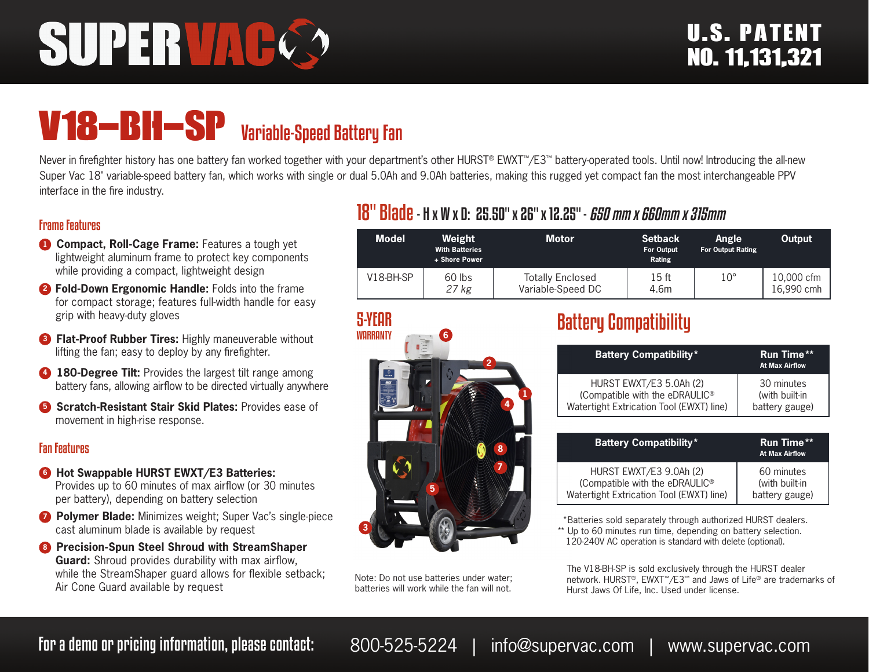# SUPERVA

## V18-BH-SP Variable-Speed Battery Fan

Never in firefighter history has one battery fan worked together with your department's other HURST® EWXT™/E3™ battery-operated tools. Until now! Introducing the all-new Super Vac 18" variable-speed battery fan, which works with single or dual 5.0Ah and 9.0Ah batteries, making this rugged yet compact fan the most interchangeable PPV interface in the fire industry.

#### Frame Features

- **1 Compact, Roll-Cage Frame:** Features a tough yet lightweight aluminum frame to protect key components while providing a compact, lightweight design
- **<sup>2</sup> Fold-Down Ergonomic Handle:** Folds into the frame for compact storage; features full-width handle for easy grip with heavy-duty gloves
- **3 Flat-Proof Rubber Tires: Highly maneuverable without** lifting the fan; easy to deploy by any firefighter.
- **4 180-Degree Tilt:** Provides the largest tilt range among battery fans, allowing airflow to be directed virtually anywhere
- **6** Scratch-Resistant Stair Skid Plates: Provides ease of movement in high-rise response.

#### Fan Features

- **6** Hot Swappable HURST EWXT/E3 Batteries: Provides up to 60 minutes of max airflow (or 30 minutes per battery), depending on battery selection
- *D* Polymer Blade: Minimizes weight; Super Vac's single-piece cast aluminum blade is available by request
- **8 Precision-Spun Steel Shroud with StreamShaper Guard:** Shroud provides durability with max airflow, while the StreamShaper guard allows for flexible setback; Air Cone Guard available by request

#### 18" Blade- H x W x D: 25.50" x 26" x 12.25" - *650 mm x 660mm x 315mm*

| <b>Model</b> | Weight<br><b>With Batteries</b><br>+ Shore Power | <b>Motor</b>                                 | <b>Setback</b><br><b>For Output</b><br>Rating | <b>Angle</b><br><b>For Output Rating</b> | Output                   |
|--------------|--------------------------------------------------|----------------------------------------------|-----------------------------------------------|------------------------------------------|--------------------------|
| $V18-BH-SP$  | 60 lbs<br>27 kg                                  | <b>Totally Enclosed</b><br>Variable-Speed DC | 15 ft<br>4.6m                                 | $10^{\circ}$                             | 10,000 cfm<br>16.990 cmh |



Note: Do not use batteries under water; batteries will work while the fan will not.

### Battery Compatibility

| <b>Battery Compatibility*</b>            | <b>Run Time**</b><br><b>At Max Airflow</b> |
|------------------------------------------|--------------------------------------------|
| HURST EWXT/E3 5.0Ah (2)                  | 30 minutes                                 |
| (Compatible with the eDRAULIC®           | (with built-in                             |
| Watertight Extrication Tool (EWXT) line) | battery gauge)                             |

| <b>Battery Compatibility*</b>              | <b>Run Time**</b><br><b>At Max Airflow</b> |
|--------------------------------------------|--------------------------------------------|
| HURST EWXT/E3 9.0Ah (2)                    | 60 minutes                                 |
| (Compatible with the eDRAULIC <sup>®</sup> | (with built-in                             |
| Watertight Extrication Tool (EWXT) line)   | battery gauge)                             |

 \*Batteries sold separately through authorized HURST dealers. \*\* Up to 60 minutes run time, depending on battery selection. 120-240V AC operation is standard with delete (optional).

The V18-BH-SP is sold exclusively through the HURST dealer network. HURST®, EWXT™/E3™ and Jaws of Life® are trademarks of Hurst Jaws Of Life, Inc. Used under license.

For a demo or pricing information, please contact: 800-525-5224 | info@supervac.com | www.supervac.com